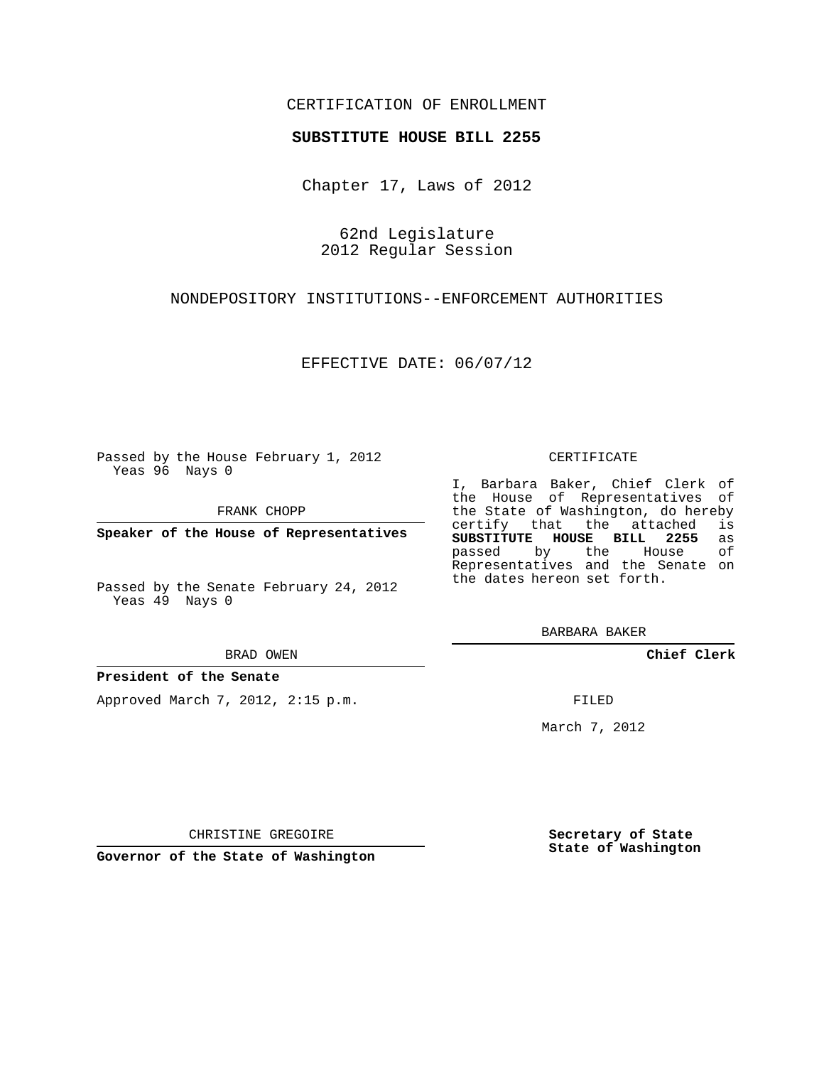## CERTIFICATION OF ENROLLMENT

## **SUBSTITUTE HOUSE BILL 2255**

Chapter 17, Laws of 2012

62nd Legislature 2012 Regular Session

NONDEPOSITORY INSTITUTIONS--ENFORCEMENT AUTHORITIES

EFFECTIVE DATE: 06/07/12

Passed by the House February 1, 2012 Yeas 96 Nays 0

FRANK CHOPP

**Speaker of the House of Representatives**

Passed by the Senate February 24, 2012 Yeas 49 Nays 0

BRAD OWEN

## **President of the Senate**

Approved March 7, 2012, 2:15 p.m.

#### CERTIFICATE

I, Barbara Baker, Chief Clerk of the House of Representatives of the State of Washington, do hereby<br>certify that the attached is certify that the attached is<br>**SUBSTITUTE HOUSE BILL 2255** as **SUBSTITUTE HOUSE BILL 2255** as passed by the House Representatives and the Senate on the dates hereon set forth.

BARBARA BAKER

**Chief Clerk**

FILED

March 7, 2012

CHRISTINE GREGOIRE

**Governor of the State of Washington**

**Secretary of State State of Washington**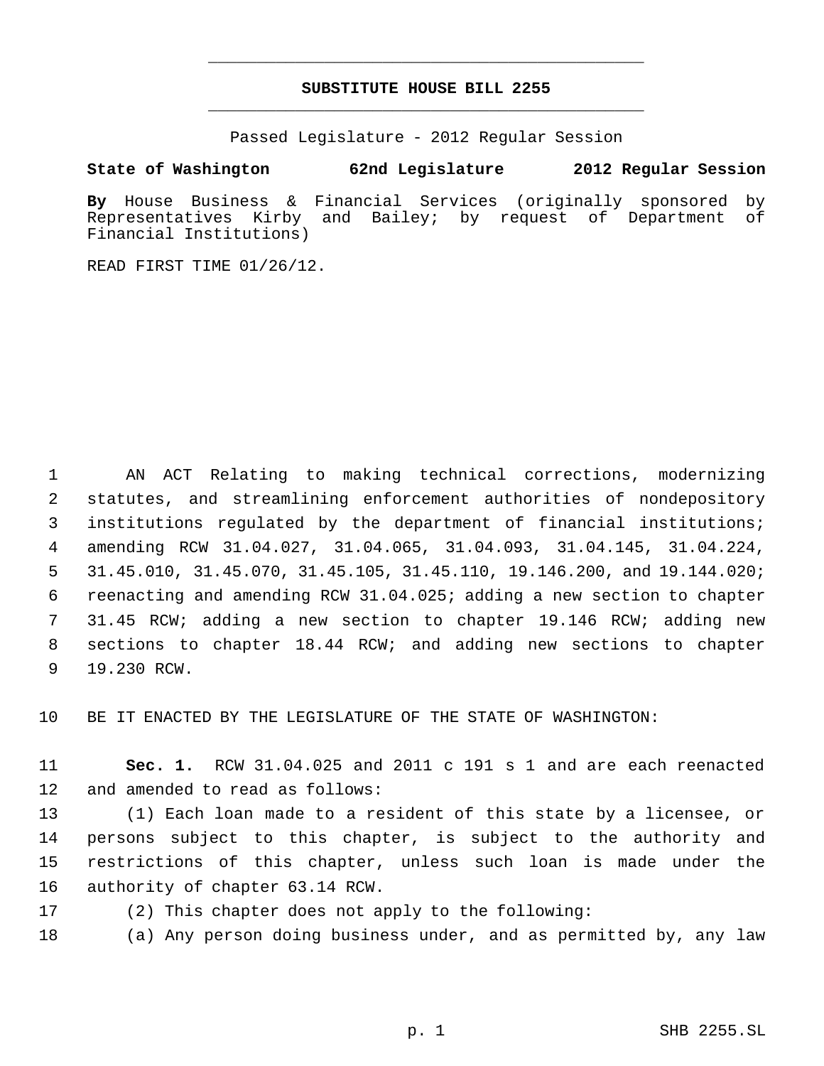# **SUBSTITUTE HOUSE BILL 2255** \_\_\_\_\_\_\_\_\_\_\_\_\_\_\_\_\_\_\_\_\_\_\_\_\_\_\_\_\_\_\_\_\_\_\_\_\_\_\_\_\_\_\_\_\_

\_\_\_\_\_\_\_\_\_\_\_\_\_\_\_\_\_\_\_\_\_\_\_\_\_\_\_\_\_\_\_\_\_\_\_\_\_\_\_\_\_\_\_\_\_

Passed Legislature - 2012 Regular Session

# **State of Washington 62nd Legislature 2012 Regular Session**

**By** House Business & Financial Services (originally sponsored by Representatives Kirby and Bailey; by request of Department of Financial Institutions)

READ FIRST TIME 01/26/12.

 AN ACT Relating to making technical corrections, modernizing statutes, and streamlining enforcement authorities of nondepository institutions regulated by the department of financial institutions; amending RCW 31.04.027, 31.04.065, 31.04.093, 31.04.145, 31.04.224, 31.45.010, 31.45.070, 31.45.105, 31.45.110, 19.146.200, and 19.144.020; reenacting and amending RCW 31.04.025; adding a new section to chapter 31.45 RCW; adding a new section to chapter 19.146 RCW; adding new sections to chapter 18.44 RCW; and adding new sections to chapter 19.230 RCW.

BE IT ENACTED BY THE LEGISLATURE OF THE STATE OF WASHINGTON:

 **Sec. 1.** RCW 31.04.025 and 2011 c 191 s 1 and are each reenacted and amended to read as follows:

 (1) Each loan made to a resident of this state by a licensee, or persons subject to this chapter, is subject to the authority and restrictions of this chapter, unless such loan is made under the authority of chapter 63.14 RCW.

(2) This chapter does not apply to the following:

(a) Any person doing business under, and as permitted by, any law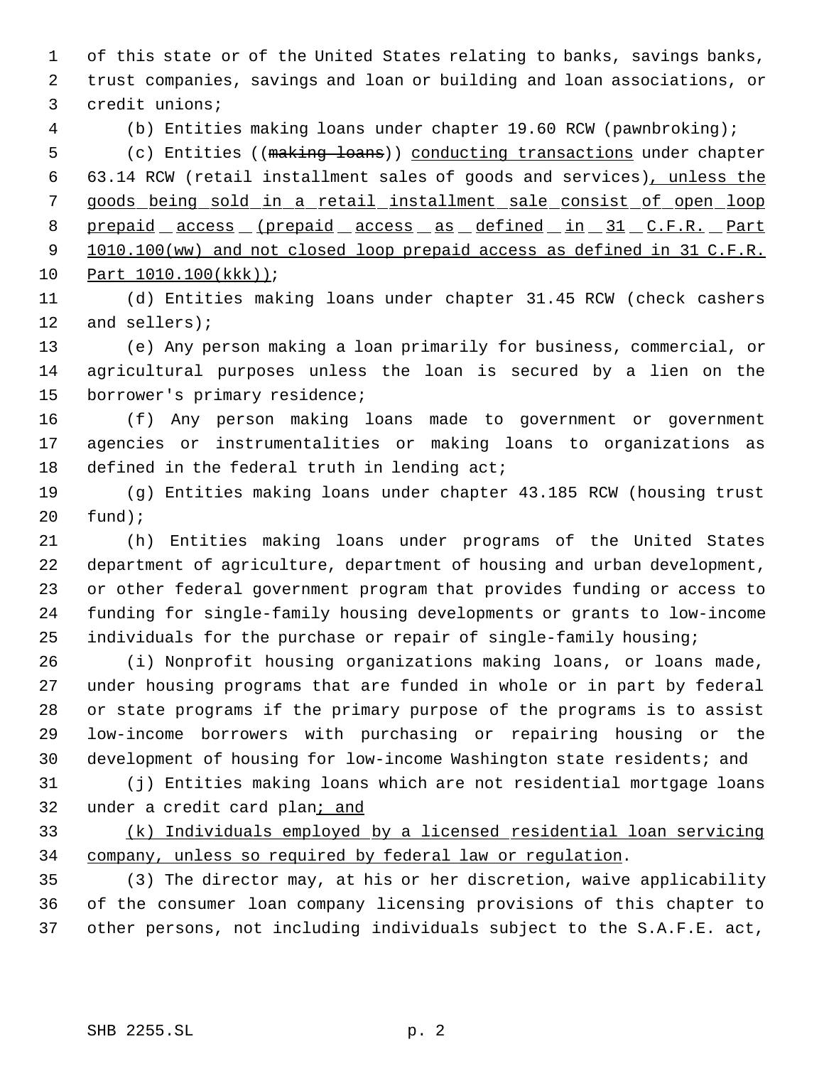of this state or of the United States relating to banks, savings banks, trust companies, savings and loan or building and loan associations, or credit unions;

(b) Entities making loans under chapter 19.60 RCW (pawnbroking);

5 (c) Entities ((making loans)) conducting transactions under chapter 63.14 RCW (retail installment sales of goods and services), unless the goods being sold in a retail installment sale consist of open loop 8 prepaid access (prepaid access as defined in 31 C.F.R. Part 9 1010.100(ww) and not closed loop prepaid access as defined in 31 C.F.R. Part 1010.100(kkk));

 (d) Entities making loans under chapter 31.45 RCW (check cashers and sellers);

 (e) Any person making a loan primarily for business, commercial, or agricultural purposes unless the loan is secured by a lien on the borrower's primary residence;

 (f) Any person making loans made to government or government agencies or instrumentalities or making loans to organizations as 18 defined in the federal truth in lending act;

 (g) Entities making loans under chapter 43.185 RCW (housing trust fund);

 (h) Entities making loans under programs of the United States department of agriculture, department of housing and urban development, or other federal government program that provides funding or access to funding for single-family housing developments or grants to low-income individuals for the purchase or repair of single-family housing;

 (i) Nonprofit housing organizations making loans, or loans made, under housing programs that are funded in whole or in part by federal or state programs if the primary purpose of the programs is to assist low-income borrowers with purchasing or repairing housing or the development of housing for low-income Washington state residents; and

 (j) Entities making loans which are not residential mortgage loans under a credit card plan; and

 (k) Individuals employed by a licensed residential loan servicing company, unless so required by federal law or regulation.

 (3) The director may, at his or her discretion, waive applicability of the consumer loan company licensing provisions of this chapter to other persons, not including individuals subject to the S.A.F.E. act,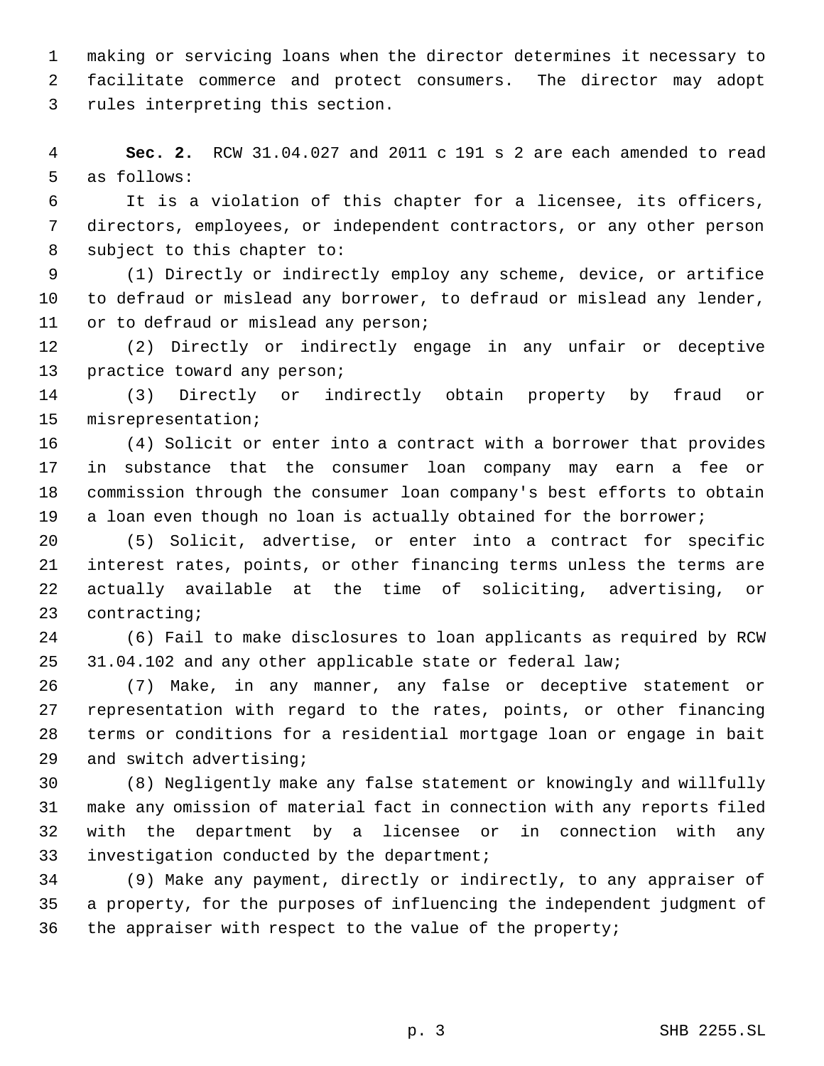making or servicing loans when the director determines it necessary to facilitate commerce and protect consumers. The director may adopt rules interpreting this section.

 **Sec. 2.** RCW 31.04.027 and 2011 c 191 s 2 are each amended to read as follows:

 It is a violation of this chapter for a licensee, its officers, directors, employees, or independent contractors, or any other person subject to this chapter to:

 (1) Directly or indirectly employ any scheme, device, or artifice to defraud or mislead any borrower, to defraud or mislead any lender, or to defraud or mislead any person;

 (2) Directly or indirectly engage in any unfair or deceptive practice toward any person;

 (3) Directly or indirectly obtain property by fraud or misrepresentation;

 (4) Solicit or enter into a contract with a borrower that provides in substance that the consumer loan company may earn a fee or commission through the consumer loan company's best efforts to obtain 19 a loan even though no loan is actually obtained for the borrower;

 (5) Solicit, advertise, or enter into a contract for specific interest rates, points, or other financing terms unless the terms are actually available at the time of soliciting, advertising, or contracting;

 (6) Fail to make disclosures to loan applicants as required by RCW 31.04.102 and any other applicable state or federal law;

 (7) Make, in any manner, any false or deceptive statement or representation with regard to the rates, points, or other financing terms or conditions for a residential mortgage loan or engage in bait and switch advertising;

 (8) Negligently make any false statement or knowingly and willfully make any omission of material fact in connection with any reports filed with the department by a licensee or in connection with any investigation conducted by the department;

 (9) Make any payment, directly or indirectly, to any appraiser of a property, for the purposes of influencing the independent judgment of the appraiser with respect to the value of the property;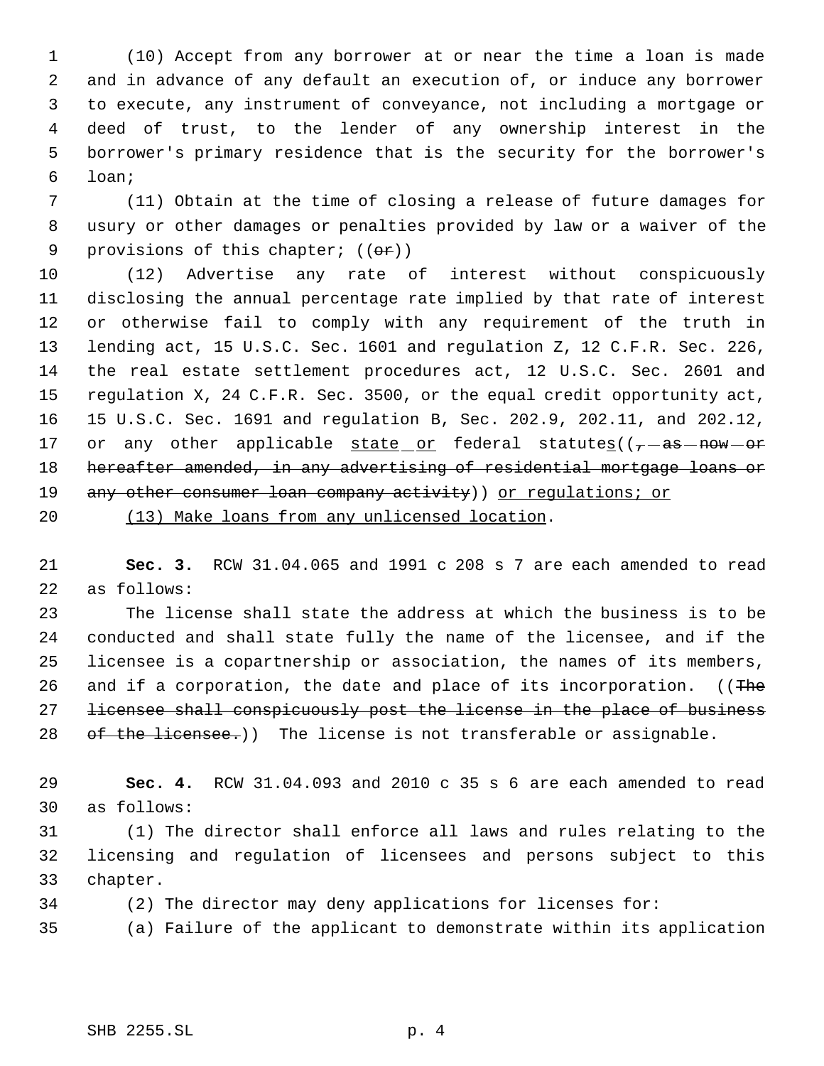(10) Accept from any borrower at or near the time a loan is made and in advance of any default an execution of, or induce any borrower to execute, any instrument of conveyance, not including a mortgage or deed of trust, to the lender of any ownership interest in the borrower's primary residence that is the security for the borrower's loan;

 (11) Obtain at the time of closing a release of future damages for usury or other damages or penalties provided by law or a waiver of the 9 provisions of this chapter;  $((\theta \cdot \mathbf{r}))$ 

 (12) Advertise any rate of interest without conspicuously disclosing the annual percentage rate implied by that rate of interest or otherwise fail to comply with any requirement of the truth in lending act, 15 U.S.C. Sec. 1601 and regulation Z, 12 C.F.R. Sec. 226, the real estate settlement procedures act, 12 U.S.C. Sec. 2601 and regulation X, 24 C.F.R. Sec. 3500, or the equal credit opportunity act, 15 U.S.C. Sec. 1691 and regulation B, Sec. 202.9, 202.11, and 202.12, 17 or any other applicable  $state\_or$  federal statutes( $(-\text{--as}$  $-$ now $-$ or 18 hereafter amended, in any advertising of residential mortgage loans or 19 any other consumer loan company activity) or regulations; or (13) Make loans from any unlicensed location.

 **Sec. 3.** RCW 31.04.065 and 1991 c 208 s 7 are each amended to read as follows:

 The license shall state the address at which the business is to be conducted and shall state fully the name of the licensee, and if the licensee is a copartnership or association, the names of its members, 26 and if a corporation, the date and place of its incorporation. ((The licensee shall conspicuously post the license in the place of business 28 of the licensee.)) The license is not transferable or assignable.

 **Sec. 4.** RCW 31.04.093 and 2010 c 35 s 6 are each amended to read as follows:

 (1) The director shall enforce all laws and rules relating to the licensing and regulation of licensees and persons subject to this chapter.

(2) The director may deny applications for licenses for:

(a) Failure of the applicant to demonstrate within its application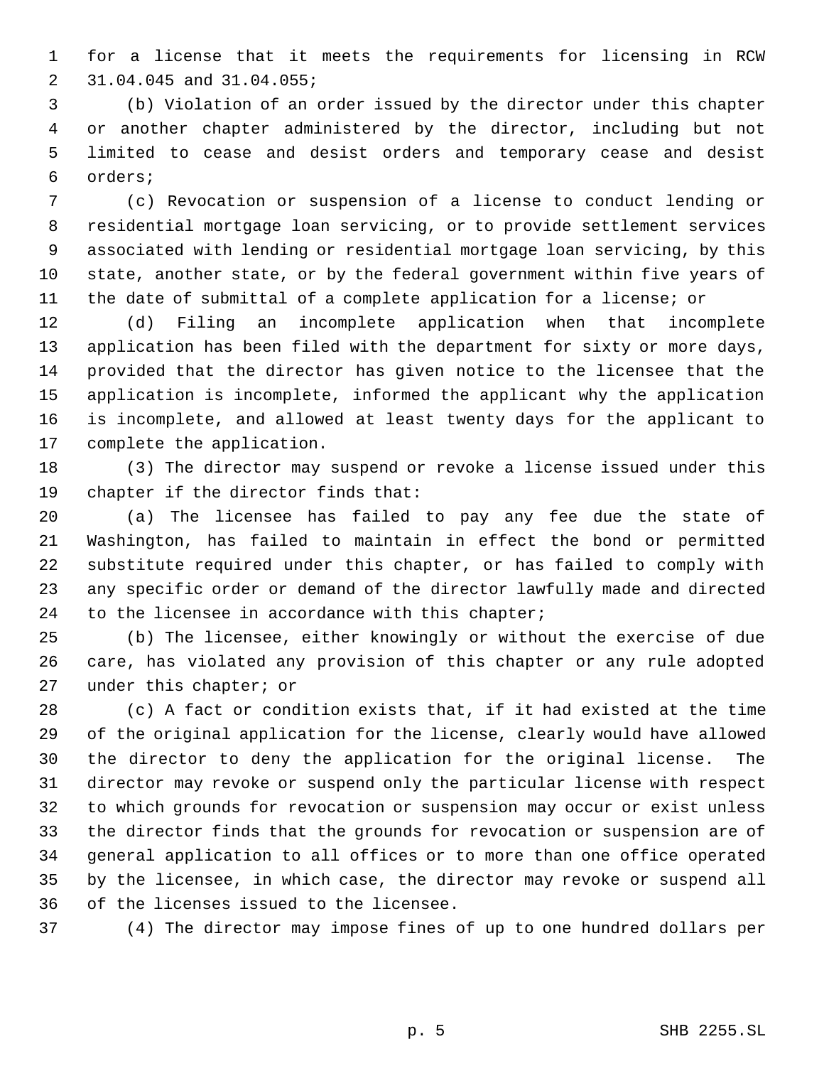for a license that it meets the requirements for licensing in RCW 31.04.045 and 31.04.055;

 (b) Violation of an order issued by the director under this chapter or another chapter administered by the director, including but not limited to cease and desist orders and temporary cease and desist orders;

 (c) Revocation or suspension of a license to conduct lending or residential mortgage loan servicing, or to provide settlement services associated with lending or residential mortgage loan servicing, by this state, another state, or by the federal government within five years of the date of submittal of a complete application for a license; or

 (d) Filing an incomplete application when that incomplete application has been filed with the department for sixty or more days, provided that the director has given notice to the licensee that the application is incomplete, informed the applicant why the application is incomplete, and allowed at least twenty days for the applicant to complete the application.

 (3) The director may suspend or revoke a license issued under this chapter if the director finds that:

 (a) The licensee has failed to pay any fee due the state of Washington, has failed to maintain in effect the bond or permitted substitute required under this chapter, or has failed to comply with any specific order or demand of the director lawfully made and directed to the licensee in accordance with this chapter;

 (b) The licensee, either knowingly or without the exercise of due care, has violated any provision of this chapter or any rule adopted under this chapter; or

 (c) A fact or condition exists that, if it had existed at the time of the original application for the license, clearly would have allowed the director to deny the application for the original license. The director may revoke or suspend only the particular license with respect to which grounds for revocation or suspension may occur or exist unless the director finds that the grounds for revocation or suspension are of general application to all offices or to more than one office operated by the licensee, in which case, the director may revoke or suspend all of the licenses issued to the licensee.

(4) The director may impose fines of up to one hundred dollars per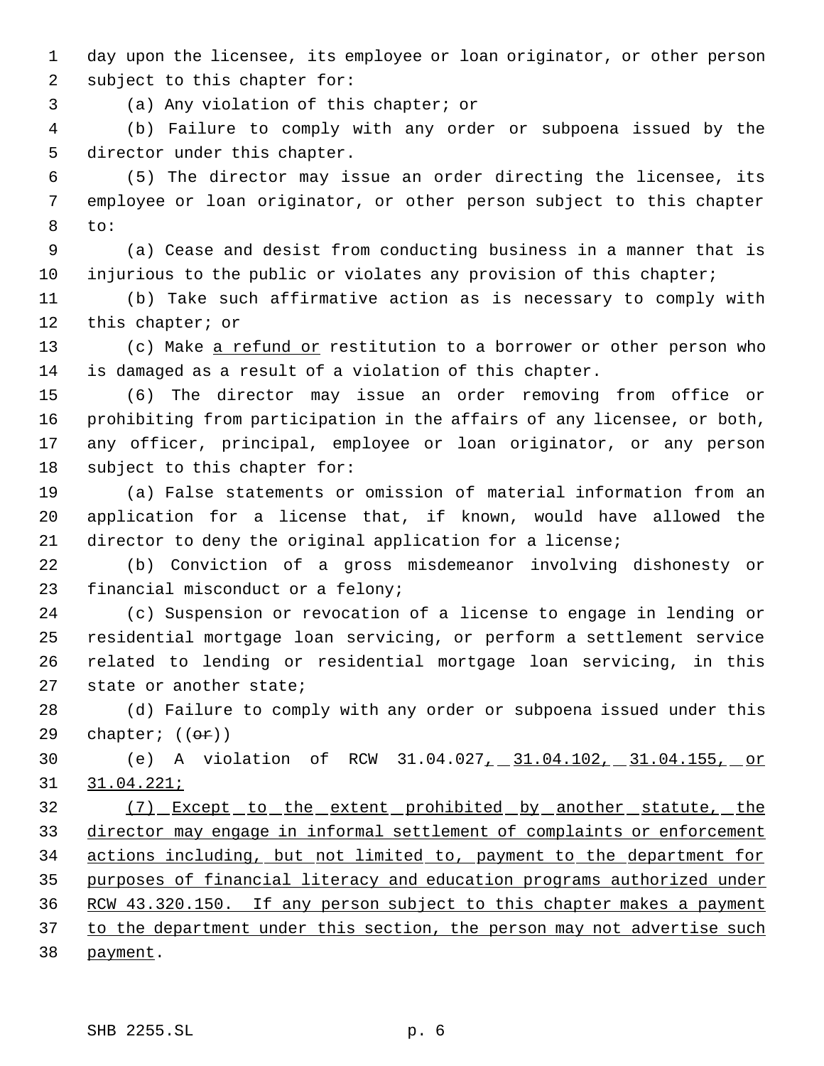day upon the licensee, its employee or loan originator, or other person subject to this chapter for:

(a) Any violation of this chapter; or

 (b) Failure to comply with any order or subpoena issued by the director under this chapter.

 (5) The director may issue an order directing the licensee, its employee or loan originator, or other person subject to this chapter to:

 (a) Cease and desist from conducting business in a manner that is injurious to the public or violates any provision of this chapter;

 (b) Take such affirmative action as is necessary to comply with 12 this chapter; or

13 (c) Make a refund or restitution to a borrower or other person who is damaged as a result of a violation of this chapter.

 (6) The director may issue an order removing from office or prohibiting from participation in the affairs of any licensee, or both, any officer, principal, employee or loan originator, or any person subject to this chapter for:

 (a) False statements or omission of material information from an application for a license that, if known, would have allowed the director to deny the original application for a license;

 (b) Conviction of a gross misdemeanor involving dishonesty or financial misconduct or a felony;

 (c) Suspension or revocation of a license to engage in lending or residential mortgage loan servicing, or perform a settlement service related to lending or residential mortgage loan servicing, in this state or another state;

 (d) Failure to comply with any order or subpoena issued under this 29 chapter;  $((\theta \cdot \hat{r}))$ 

 (e) A violation of RCW 31.04.027, 31.04.102, 31.04.155, or 31.04.221;

32 (7) Except to the extent prohibited by another statute, the director may engage in informal settlement of complaints or enforcement actions including, but not limited to, payment to the department for purposes of financial literacy and education programs authorized under RCW 43.320.150. If any person subject to this chapter makes a payment 37 to the department under this section, the person may not advertise such 38 payment.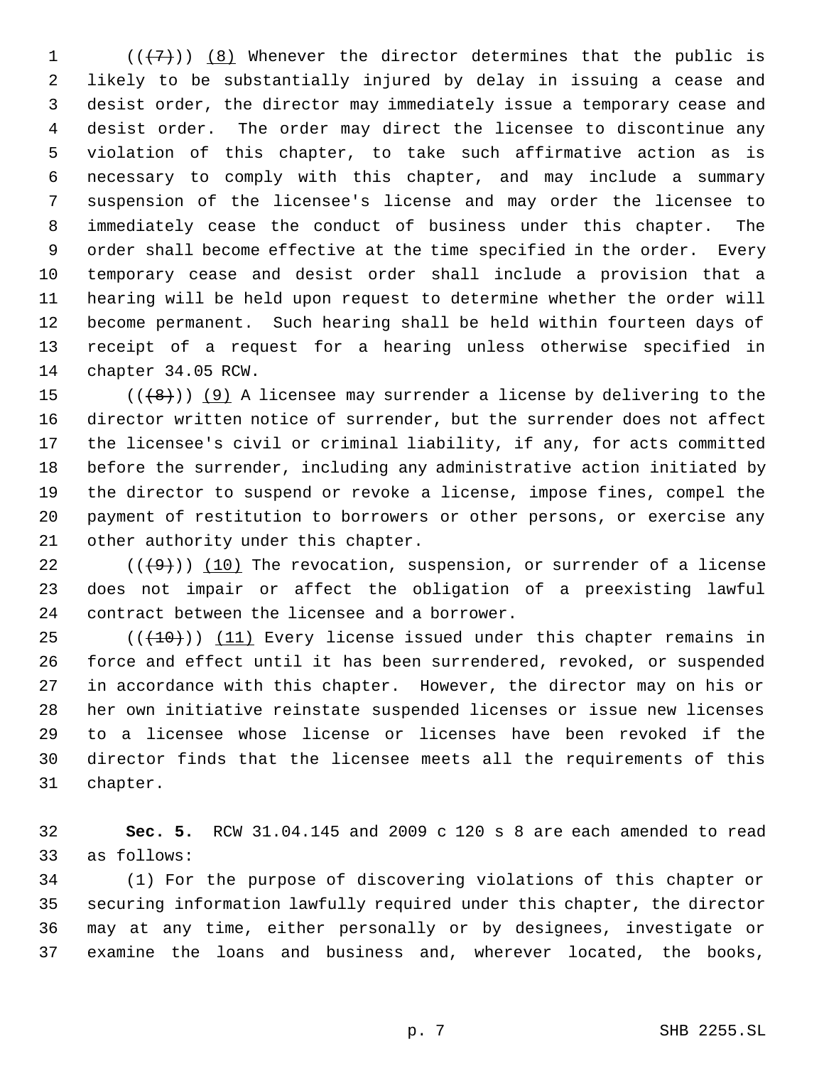$((+7))$   $(8)$  Whenever the director determines that the public is likely to be substantially injured by delay in issuing a cease and desist order, the director may immediately issue a temporary cease and desist order. The order may direct the licensee to discontinue any violation of this chapter, to take such affirmative action as is necessary to comply with this chapter, and may include a summary suspension of the licensee's license and may order the licensee to immediately cease the conduct of business under this chapter. The order shall become effective at the time specified in the order. Every temporary cease and desist order shall include a provision that a hearing will be held upon request to determine whether the order will become permanent. Such hearing shall be held within fourteen days of receipt of a request for a hearing unless otherwise specified in chapter 34.05 RCW.

 $((+8))$  (9) A licensee may surrender a license by delivering to the director written notice of surrender, but the surrender does not affect the licensee's civil or criminal liability, if any, for acts committed before the surrender, including any administrative action initiated by the director to suspend or revoke a license, impose fines, compel the payment of restitution to borrowers or other persons, or exercise any other authority under this chapter.

22  $((+9))$  (10) The revocation, suspension, or surrender of a license does not impair or affect the obligation of a preexisting lawful contract between the licensee and a borrower.

 $((+10))$  (11) Every license issued under this chapter remains in force and effect until it has been surrendered, revoked, or suspended in accordance with this chapter. However, the director may on his or her own initiative reinstate suspended licenses or issue new licenses to a licensee whose license or licenses have been revoked if the director finds that the licensee meets all the requirements of this chapter.

 **Sec. 5.** RCW 31.04.145 and 2009 c 120 s 8 are each amended to read as follows:

 (1) For the purpose of discovering violations of this chapter or securing information lawfully required under this chapter, the director may at any time, either personally or by designees, investigate or examine the loans and business and, wherever located, the books,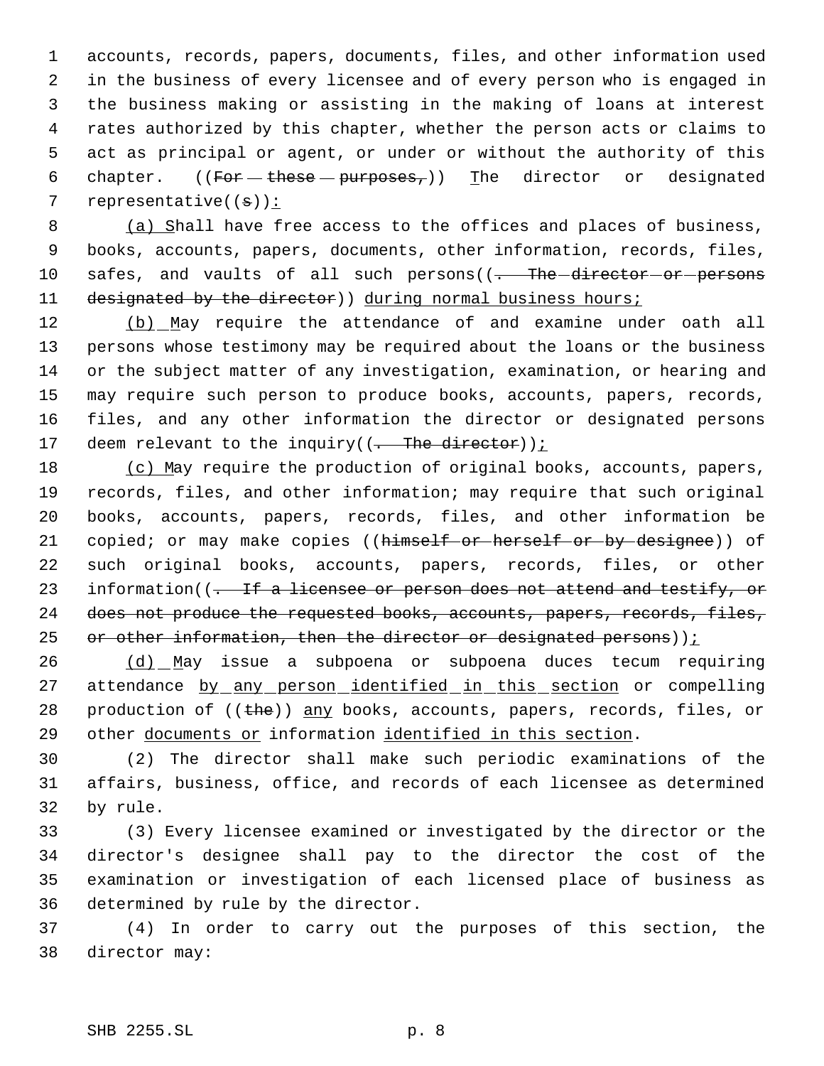accounts, records, papers, documents, files, and other information used in the business of every licensee and of every person who is engaged in the business making or assisting in the making of loans at interest rates authorized by this chapter, whether the person acts or claims to act as principal or agent, or under or without the authority of this 6 chapter. ((For these  $-p$ urposes,)) The director or designated 7 representative $((\theta))^2$ :

8 (a) Shall have free access to the offices and places of business, 9 books, accounts, papers, documents, other information, records, files, 10 safes, and vaults of all such persons((<del>. The director or persons</del> 11 designated by the director) during normal business hours;

12 (b) May require the attendance of and examine under oath all persons whose testimony may be required about the loans or the business or the subject matter of any investigation, examination, or hearing and may require such person to produce books, accounts, papers, records, files, and any other information the director or designated persons 17 deem relevant to the inquiry( $(-$ The director));

18 (c) May require the production of original books, accounts, papers, 19 records, files, and other information; may require that such original 20 books, accounts, papers, records, files, and other information be 21 copied; or may make copies ((himself or herself or by designee)) of 22 such original books, accounts, papers, records, files, or other 23 information((<del>. If a licensee or person does not attend and testify, or</del> 24 does not produce the requested books, accounts, papers, records, files, 25 or other information, then the director or designated persons)) $i$ 

26 (d) May issue a subpoena or subpoena duces tecum requiring 27 attendance by any person identified in this section or compelling 28 production of  $((the))$  any books, accounts, papers, records, files, or 29 other documents or information identified in this section.

30 (2) The director shall make such periodic examinations of the 31 affairs, business, office, and records of each licensee as determined 32 by rule.

 (3) Every licensee examined or investigated by the director or the director's designee shall pay to the director the cost of the examination or investigation of each licensed place of business as determined by rule by the director.

37 (4) In order to carry out the purposes of this section, the 38 director may: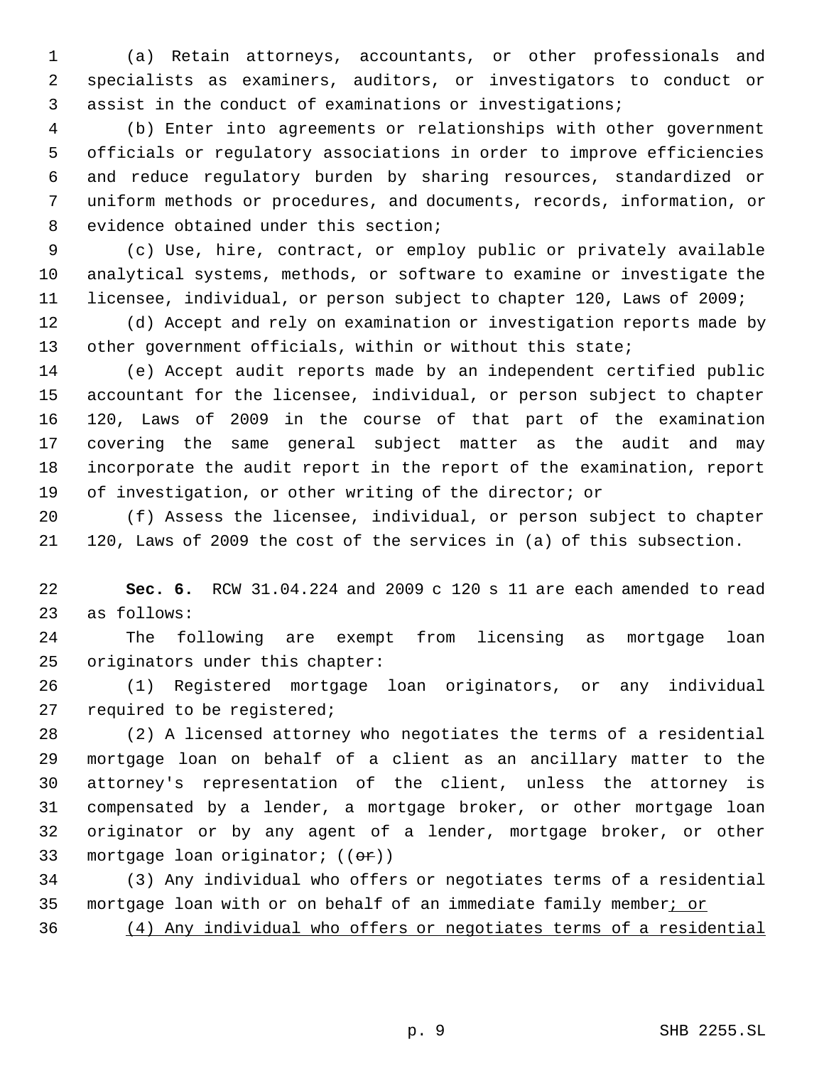(a) Retain attorneys, accountants, or other professionals and specialists as examiners, auditors, or investigators to conduct or assist in the conduct of examinations or investigations;

 (b) Enter into agreements or relationships with other government officials or regulatory associations in order to improve efficiencies and reduce regulatory burden by sharing resources, standardized or uniform methods or procedures, and documents, records, information, or evidence obtained under this section;

 (c) Use, hire, contract, or employ public or privately available analytical systems, methods, or software to examine or investigate the licensee, individual, or person subject to chapter 120, Laws of 2009;

 (d) Accept and rely on examination or investigation reports made by 13 other government officials, within or without this state;

 (e) Accept audit reports made by an independent certified public accountant for the licensee, individual, or person subject to chapter 120, Laws of 2009 in the course of that part of the examination covering the same general subject matter as the audit and may incorporate the audit report in the report of the examination, report of investigation, or other writing of the director; or

 (f) Assess the licensee, individual, or person subject to chapter 120, Laws of 2009 the cost of the services in (a) of this subsection.

 **Sec. 6.** RCW 31.04.224 and 2009 c 120 s 11 are each amended to read as follows:

 The following are exempt from licensing as mortgage loan originators under this chapter:

 (1) Registered mortgage loan originators, or any individual required to be registered;

 (2) A licensed attorney who negotiates the terms of a residential mortgage loan on behalf of a client as an ancillary matter to the attorney's representation of the client, unless the attorney is compensated by a lender, a mortgage broker, or other mortgage loan originator or by any agent of a lender, mortgage broker, or other 33 mortgage loan originator; ((er))

 (3) Any individual who offers or negotiates terms of a residential 35 mortgage loan with or on behalf of an immediate family member; or

(4) Any individual who offers or negotiates terms of a residential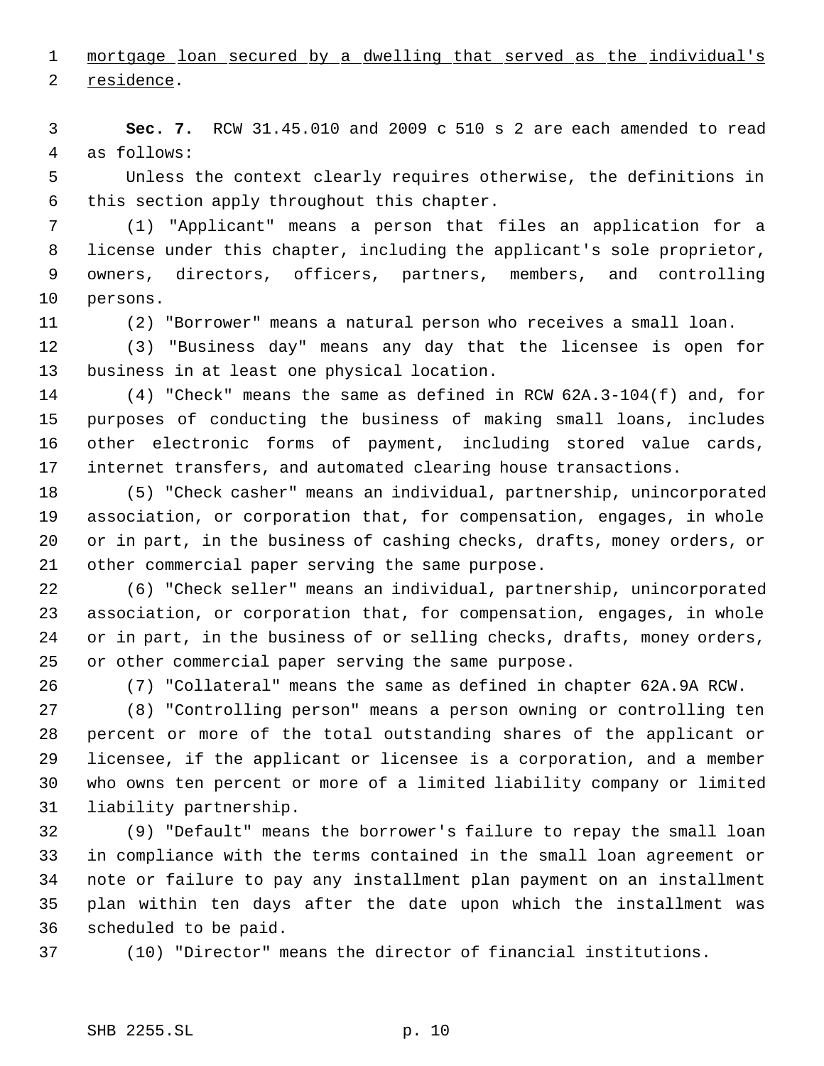mortgage loan secured by a dwelling that served as the individual's residence.

 **Sec. 7.** RCW 31.45.010 and 2009 c 510 s 2 are each amended to read as follows:

 Unless the context clearly requires otherwise, the definitions in this section apply throughout this chapter.

 (1) "Applicant" means a person that files an application for a license under this chapter, including the applicant's sole proprietor, owners, directors, officers, partners, members, and controlling persons.

(2) "Borrower" means a natural person who receives a small loan.

 (3) "Business day" means any day that the licensee is open for business in at least one physical location.

 (4) "Check" means the same as defined in RCW 62A.3-104(f) and, for purposes of conducting the business of making small loans, includes other electronic forms of payment, including stored value cards, internet transfers, and automated clearing house transactions.

 (5) "Check casher" means an individual, partnership, unincorporated association, or corporation that, for compensation, engages, in whole or in part, in the business of cashing checks, drafts, money orders, or other commercial paper serving the same purpose.

 (6) "Check seller" means an individual, partnership, unincorporated association, or corporation that, for compensation, engages, in whole or in part, in the business of or selling checks, drafts, money orders, or other commercial paper serving the same purpose.

(7) "Collateral" means the same as defined in chapter 62A.9A RCW.

 (8) "Controlling person" means a person owning or controlling ten percent or more of the total outstanding shares of the applicant or licensee, if the applicant or licensee is a corporation, and a member who owns ten percent or more of a limited liability company or limited liability partnership.

 (9) "Default" means the borrower's failure to repay the small loan in compliance with the terms contained in the small loan agreement or note or failure to pay any installment plan payment on an installment plan within ten days after the date upon which the installment was scheduled to be paid.

(10) "Director" means the director of financial institutions.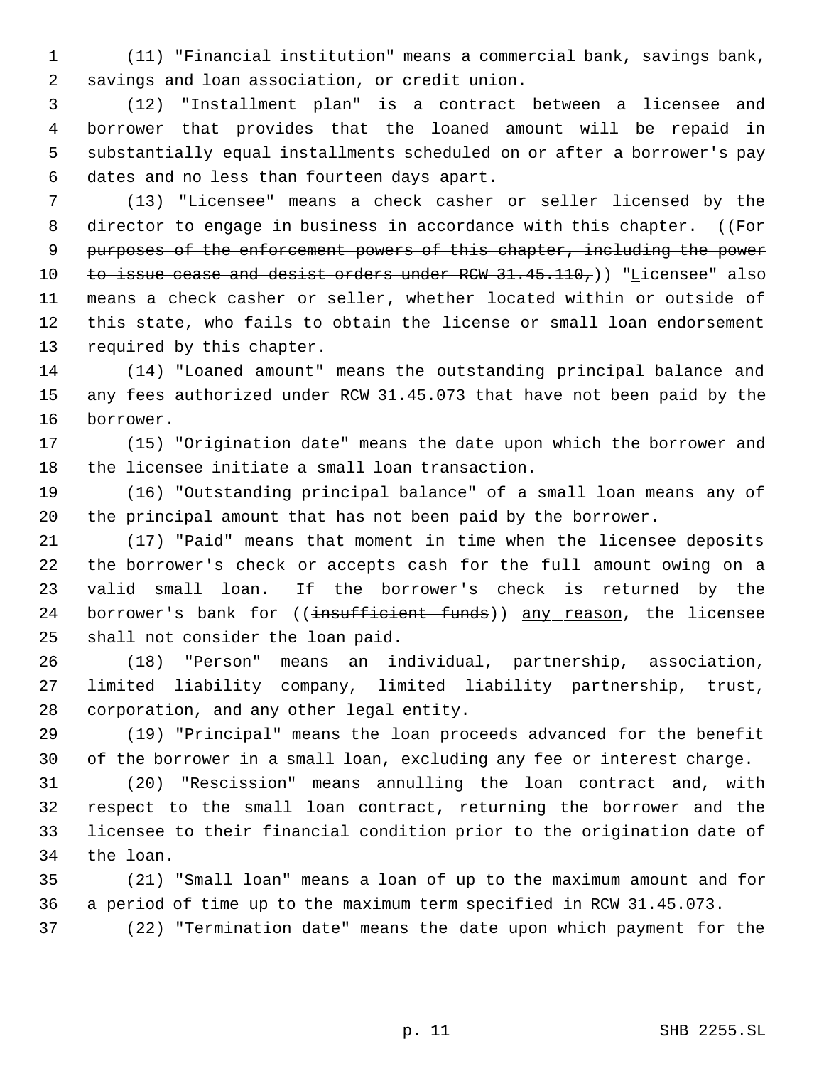(11) "Financial institution" means a commercial bank, savings bank, savings and loan association, or credit union.

 (12) "Installment plan" is a contract between a licensee and borrower that provides that the loaned amount will be repaid in substantially equal installments scheduled on or after a borrower's pay dates and no less than fourteen days apart.

 (13) "Licensee" means a check casher or seller licensed by the 8 director to engage in business in accordance with this chapter. ((For 9 purposes of the enforcement powers of this chapter, including the power 10 to issue cease and desist orders under  $RCW$  31.45.110,)) "Licensee" also 11 means a check casher or seller, whether located within or outside of this state, who fails to obtain the license or small loan endorsement required by this chapter.

 (14) "Loaned amount" means the outstanding principal balance and any fees authorized under RCW 31.45.073 that have not been paid by the borrower.

 (15) "Origination date" means the date upon which the borrower and the licensee initiate a small loan transaction.

 (16) "Outstanding principal balance" of a small loan means any of the principal amount that has not been paid by the borrower.

 (17) "Paid" means that moment in time when the licensee deposits the borrower's check or accepts cash for the full amount owing on a valid small loan. If the borrower's check is returned by the 24 borrower's bank for ((insufficient-funds)) any reason, the licensee shall not consider the loan paid.

 (18) "Person" means an individual, partnership, association, limited liability company, limited liability partnership, trust, corporation, and any other legal entity.

 (19) "Principal" means the loan proceeds advanced for the benefit of the borrower in a small loan, excluding any fee or interest charge.

 (20) "Rescission" means annulling the loan contract and, with respect to the small loan contract, returning the borrower and the licensee to their financial condition prior to the origination date of the loan.

 (21) "Small loan" means a loan of up to the maximum amount and for a period of time up to the maximum term specified in RCW 31.45.073.

(22) "Termination date" means the date upon which payment for the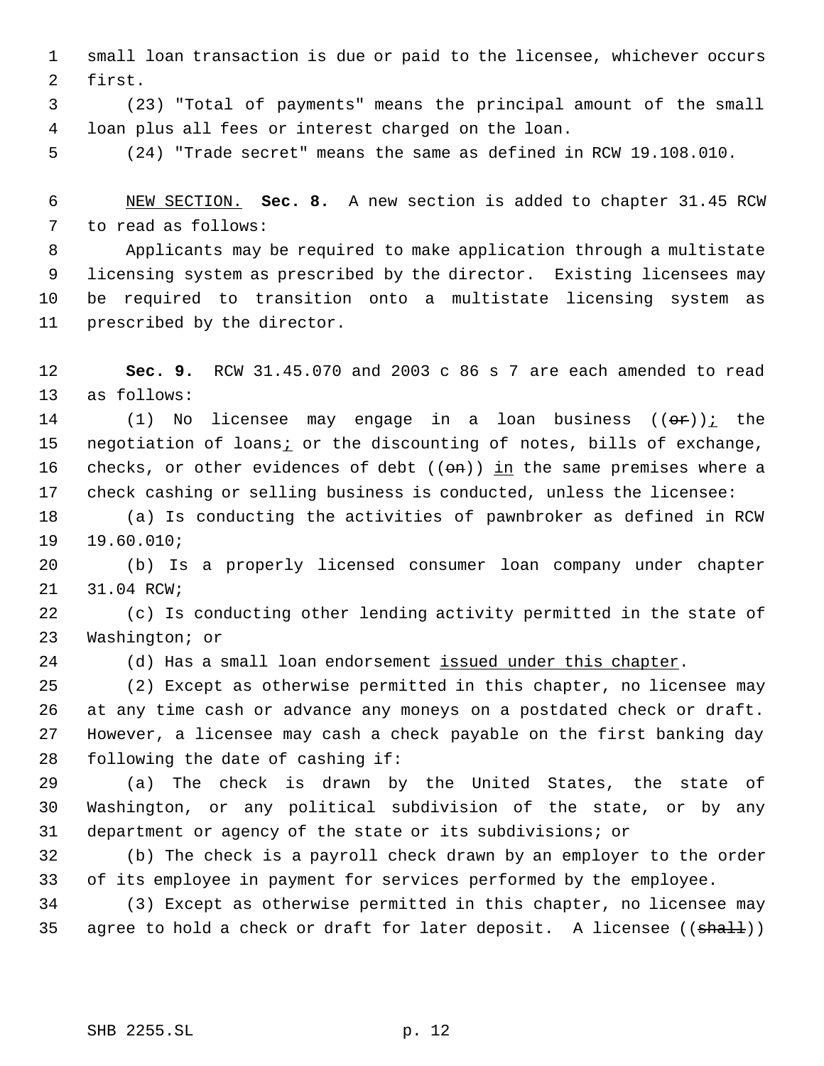small loan transaction is due or paid to the licensee, whichever occurs first.

 (23) "Total of payments" means the principal amount of the small loan plus all fees or interest charged on the loan.

(24) "Trade secret" means the same as defined in RCW 19.108.010.

 NEW SECTION. **Sec. 8.** A new section is added to chapter 31.45 RCW to read as follows:

 Applicants may be required to make application through a multistate licensing system as prescribed by the director. Existing licensees may be required to transition onto a multistate licensing system as prescribed by the director.

 **Sec. 9.** RCW 31.45.070 and 2003 c 86 s 7 are each amended to read as follows:

14 (1) No licensee may engage in a loan business  $((\theta \hat{r}))_L$  the 15 negotiation of loans<sub>i</sub> or the discounting of notes, bills of exchange, 16 checks, or other evidences of debt  $((\Theta n))$  in the same premises where a check cashing or selling business is conducted, unless the licensee:

 (a) Is conducting the activities of pawnbroker as defined in RCW 19.60.010;

 (b) Is a properly licensed consumer loan company under chapter 31.04 RCW;

 (c) Is conducting other lending activity permitted in the state of Washington; or

24 (d) Has a small loan endorsement issued under this chapter.

 (2) Except as otherwise permitted in this chapter, no licensee may at any time cash or advance any moneys on a postdated check or draft. However, a licensee may cash a check payable on the first banking day following the date of cashing if:

 (a) The check is drawn by the United States, the state of Washington, or any political subdivision of the state, or by any department or agency of the state or its subdivisions; or

 (b) The check is a payroll check drawn by an employer to the order of its employee in payment for services performed by the employee.

 (3) Except as otherwise permitted in this chapter, no licensee may 35 agree to hold a check or draft for later deposit. A licensee  $((\text{shall}))$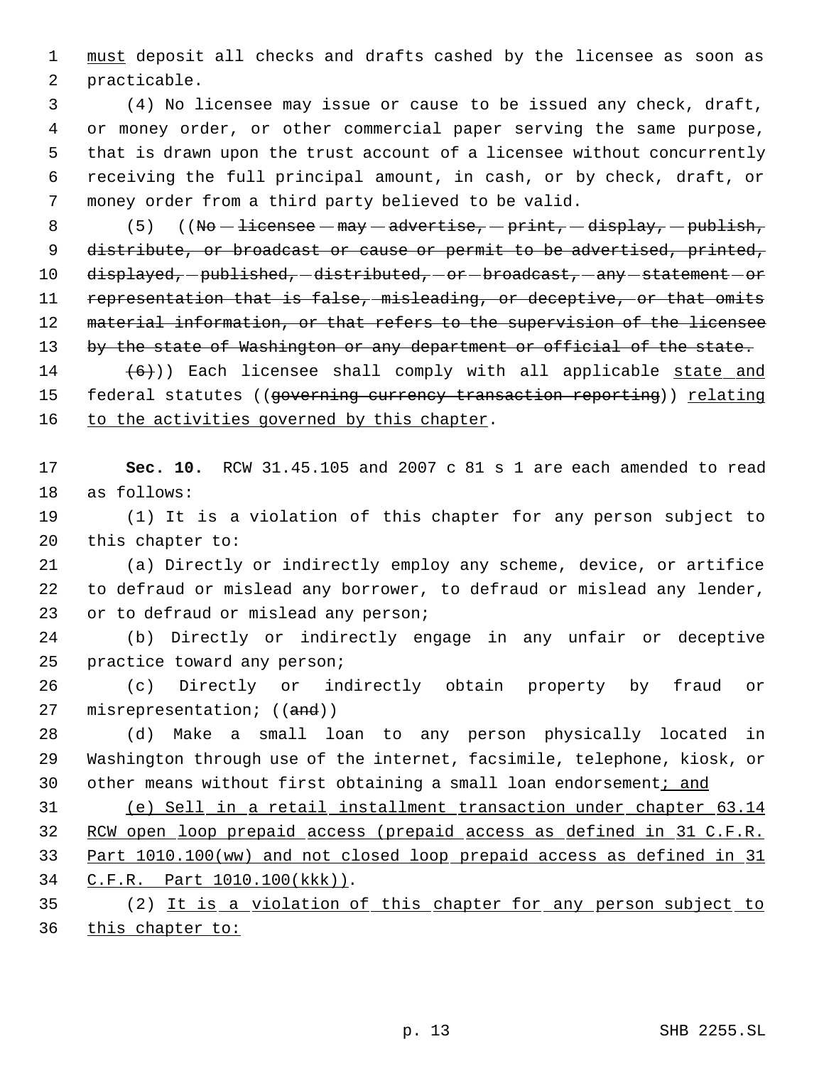1 must deposit all checks and drafts cashed by the licensee as soon as practicable.

 (4) No licensee may issue or cause to be issued any check, draft, or money order, or other commercial paper serving the same purpose, that is drawn upon the trust account of a licensee without concurrently receiving the full principal amount, in cash, or by check, draft, or money order from a third party believed to be valid.

8 (5) ((No  $-$  licensee  $-$  may  $-$  advertise,  $-$  print,  $-$  display,  $-$  publish, 9 distribute, or broadcast or cause or permit to be advertised, printed, 10 displayed, -published, -distributed, -or -broadcast, -any -statement -or representation that is false, misleading, or deceptive, or that omits 12 material information, or that refers to the supervision of the licensee 13 by the state of Washington or any department or official of the state.

14  $(6)$ ) Each licensee shall comply with all applicable state and 15 federal statutes ((governing currency transaction reporting)) relating 16 to the activities governed by this chapter.

 **Sec. 10.** RCW 31.45.105 and 2007 c 81 s 1 are each amended to read as follows:

 (1) It is a violation of this chapter for any person subject to this chapter to:

 (a) Directly or indirectly employ any scheme, device, or artifice to defraud or mislead any borrower, to defraud or mislead any lender, or to defraud or mislead any person;

 (b) Directly or indirectly engage in any unfair or deceptive practice toward any person;

 (c) Directly or indirectly obtain property by fraud or 27 misrepresentation; ((and))

 (d) Make a small loan to any person physically located in Washington through use of the internet, facsimile, telephone, kiosk, or 30 other means without first obtaining a small loan endorsement; and

 (e) Sell in a retail installment transaction under chapter 63.14 RCW open loop prepaid access (prepaid access as defined in 31 C.F.R. Part 1010.100(ww) and not closed loop prepaid access as defined in 31 C.F.R. Part 1010.100(kkk)).

 (2) It is a violation of this chapter for any person subject to 36 this chapter to: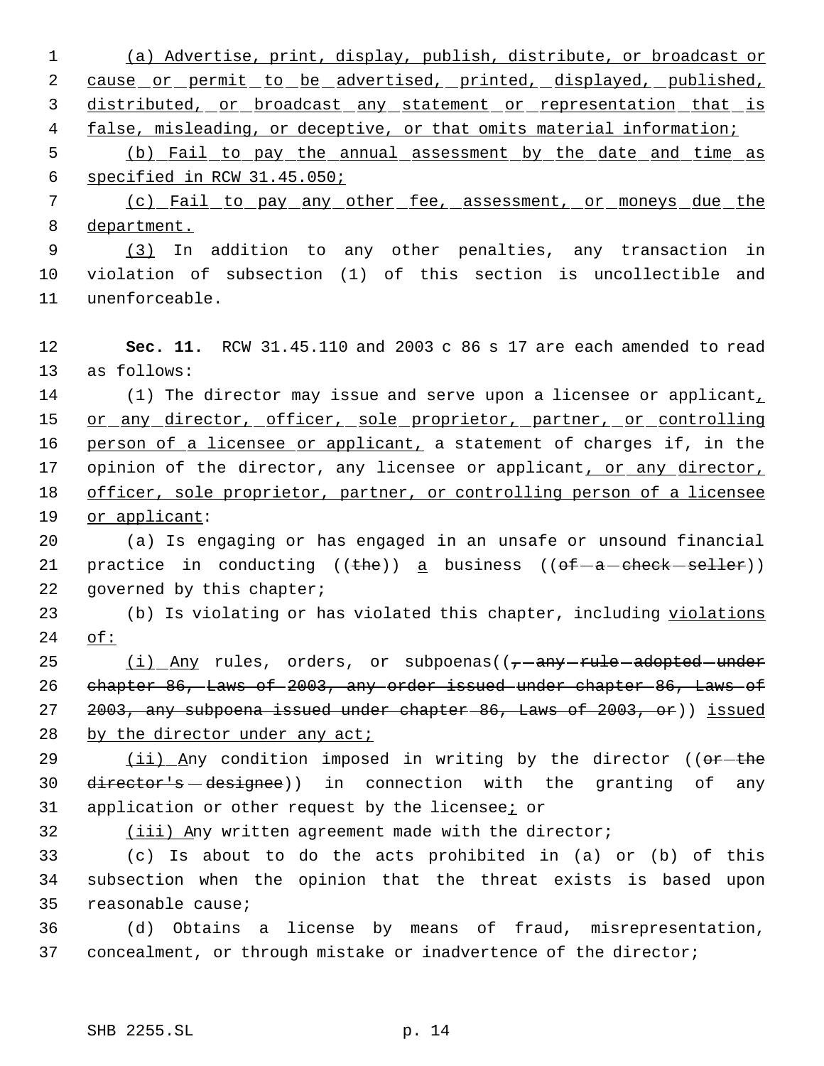1 (a) Advertise, print, display, publish, distribute, or broadcast or 2 cause or permit to be advertised, printed, displayed, published, 3 distributed, or broadcast any statement or representation that is 4 false, misleading, or deceptive, or that omits material information; 5 (b) Fail to pay the annual assessment by the date and time as 6 specified in RCW 31.45.050; 7 (c) Fail to pay any other fee, assessment, or moneys due the 8 department. 9 (3) In addition to any other penalties, any transaction in 10 violation of subsection (1) of this section is uncollectible and 11 unenforceable. 12 **Sec. 11.** RCW 31.45.110 and 2003 c 86 s 17 are each amended to read 13 as follows: 14 (1) The director may issue and serve upon a licensee or applicant, 15 or any director, officer, sole proprietor, partner, or controlling 16 person of a licensee or applicant, a statement of charges if, in the 17 opinion of the director, any licensee or applicant, or any director, 18 officer, sole proprietor, partner, or controlling person of a licensee 19 or applicant: 20 (a) Is engaging or has engaged in an unsafe or unsound financial 21 practice in conducting  $((the)$  a business  $((of -a - check - selfer))$ 22 governed by this chapter; 23 (b) Is violating or has violated this chapter, including violations 24 of: 25  $(i)$  Any rules, orders, or subpoenas( $(-$ any rule adopted under 26 chapter 86, Laws of 2003, any order issued under chapter 86, Laws of 27 2003, any subpoena issued under chapter 86, Laws of 2003, or)) issued 28 by the director under any act; 29 (ii) Any condition imposed in writing by the director ((or-the 30 director's designee)) in connection with the granting of any 31 application or other request by the licensee; or 32 (iii) Any written agreement made with the director; 33 (c) Is about to do the acts prohibited in (a) or (b) of this 34 subsection when the opinion that the threat exists is based upon 35 reasonable cause; 36 (d) Obtains a license by means of fraud, misrepresentation, 37 concealment, or through mistake or inadvertence of the director;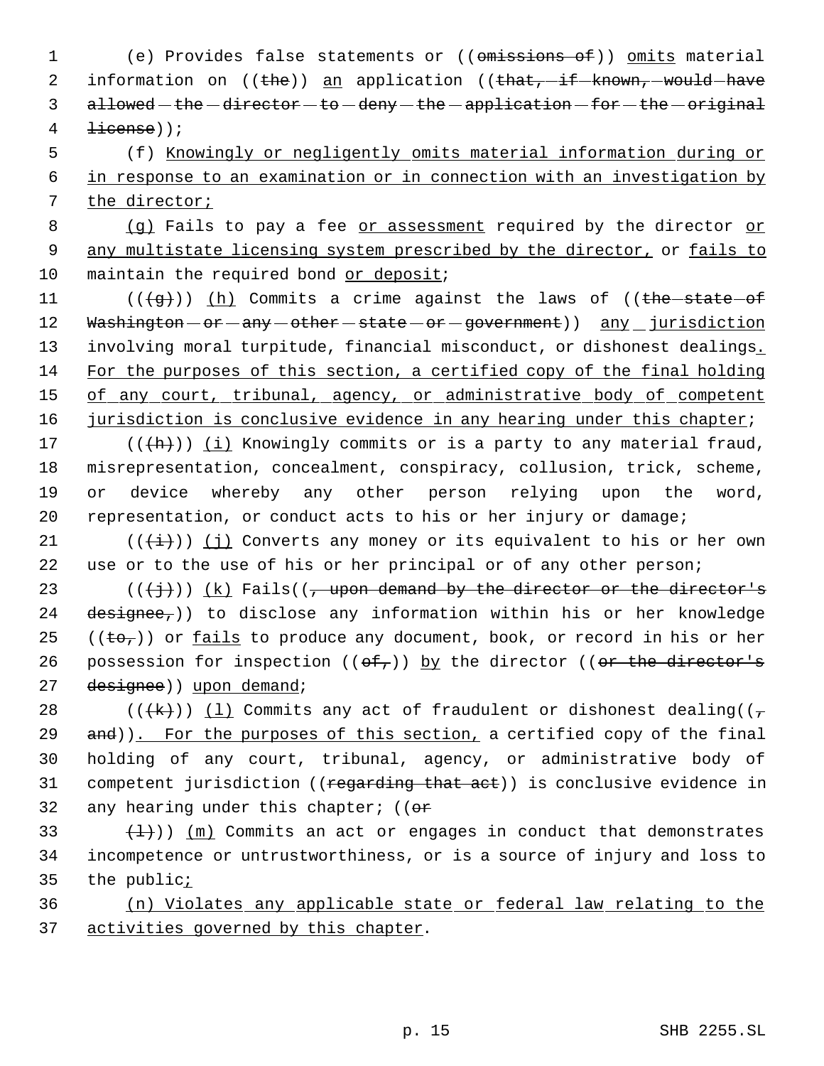1 (e) Provides false statements or ((omissions of)) omits material 2 information on ((the)) an application ((that, -if -known, -would -have 3 allowed - the -director - to -deny - the -application - for - the - original  $4 \quad \text{H}(\text{dense})$ 

 5 (f) Knowingly or negligently omits material information during or 6 in response to an examination or in connection with an investigation by 7 the director;

8 (g) Fails to pay a fee or assessment required by the director or 9 any multistate licensing system prescribed by the director, or fails to 10 maintain the required bond or deposit;

11 ( $(\frac{1}{9})$ ) (h) Commits a crime against the laws of ((the state of 12 Washington - or - any - other - state - or - government) ) any \_ jurisdiction 13 involving moral turpitude, financial misconduct, or dishonest dealings. 14 For the purposes of this section, a certified copy of the final holding 15 of any court, tribunal, agency, or administrative body of competent 16 jurisdiction is conclusive evidence in any hearing under this chapter;

 $((+h))$   $(i)$  Knowingly commits or is a party to any material fraud, misrepresentation, concealment, conspiracy, collusion, trick, scheme, or device whereby any other person relying upon the word, representation, or conduct acts to his or her injury or damage;

21 ( $(\frac{1}{1})$ ) (j) Converts any money or its equivalent to his or her own 22 use or to the use of his or her principal or of any other person;

23 ( $(\langle +\frac{1}{2}\rangle)$ ) (k) Fails(( $\tau$  upon demand by the director or the director's 24 designee,)) to disclose any information within his or her knowledge 25 (( $\pm \sigma$ )) or <u>fails</u> to produce any document, book, or record in his or her 26 possession for inspection  $((\theta f)')$  by the director  $((\theta r + \theta)$  director's 27 designee)) upon demand;

28 (( $(\frac{1}{k})$ ) (1) Commits any act of fraudulent or dishonest dealing(( $\frac{1}{\sqrt{2}}$ 29 and)). For the purposes of this section, a certified copy of the final 30 holding of any court, tribunal, agency, or administrative body of 31 competent jurisdiction ((regarding that act)) is conclusive evidence in 32 any hearing under this chapter;  $(6r)$ 

33  $(\frac{1}{1})$ ) (m) Commits an act or engages in conduct that demonstrates 34 incompetence or untrustworthiness, or is a source of injury and loss to 35 the public<sub>i</sub>

36 (n) Violates any applicable state or federal law relating to the 37 activities governed by this chapter.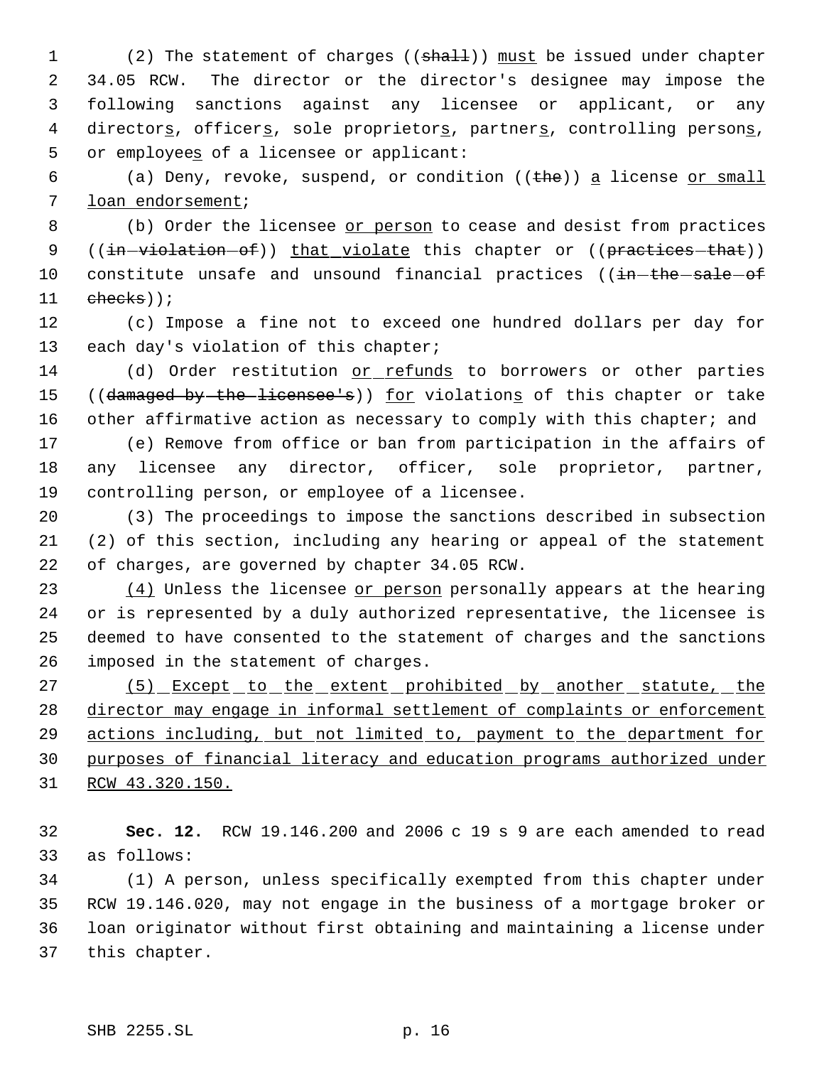1 (2) The statement of charges ((shall)) must be issued under chapter 34.05 RCW. The director or the director's designee may impose the following sanctions against any licensee or applicant, or any 4 directors, officers, sole proprietors, partners, controlling persons, 5 or employees of a licensee or applicant:

6 (a) Deny, revoke, suspend, or condition  $(\theta + h \epsilon)$  a license or small loan endorsement;

8 (b) Order the licensee or person to cease and desist from practices 9 ((in-violation-of)) that violate this chapter or ((practices-that)) 10 constitute unsafe and unsound financial practices ((in-the-sale-of checks));

 (c) Impose a fine not to exceed one hundred dollars per day for 13 each day's violation of this chapter;

 (d) Order restitution or refunds to borrowers or other parties 15 ((damaged by the licensee's)) for violations of this chapter or take 16 other affirmative action as necessary to comply with this chapter; and

 (e) Remove from office or ban from participation in the affairs of any licensee any director, officer, sole proprietor, partner, controlling person, or employee of a licensee.

 (3) The proceedings to impose the sanctions described in subsection (2) of this section, including any hearing or appeal of the statement of charges, are governed by chapter 34.05 RCW.

23 (4) Unless the licensee or person personally appears at the hearing or is represented by a duly authorized representative, the licensee is deemed to have consented to the statement of charges and the sanctions imposed in the statement of charges.

27 (5) Except to the extent prohibited by another statute, the director may engage in informal settlement of complaints or enforcement 29 actions including, but not limited to, payment to the department for purposes of financial literacy and education programs authorized under RCW 43.320.150.

 **Sec. 12.** RCW 19.146.200 and 2006 c 19 s 9 are each amended to read as follows:

 (1) A person, unless specifically exempted from this chapter under RCW 19.146.020, may not engage in the business of a mortgage broker or loan originator without first obtaining and maintaining a license under this chapter.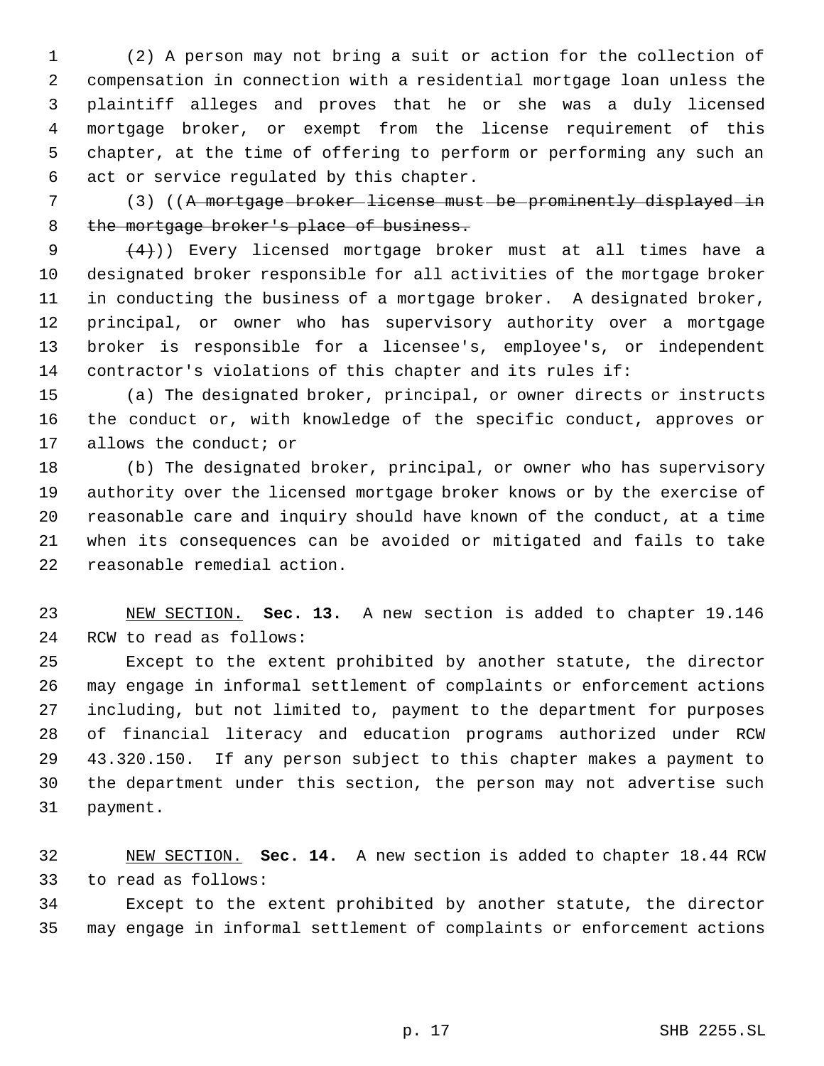(2) A person may not bring a suit or action for the collection of compensation in connection with a residential mortgage loan unless the plaintiff alleges and proves that he or she was a duly licensed mortgage broker, or exempt from the license requirement of this chapter, at the time of offering to perform or performing any such an act or service regulated by this chapter.

 (3) ((A mortgage broker license must be prominently displayed in 8 the mortgage broker's place of business.

 $(4)$ )) Every licensed mortgage broker must at all times have a designated broker responsible for all activities of the mortgage broker in conducting the business of a mortgage broker. A designated broker, principal, or owner who has supervisory authority over a mortgage broker is responsible for a licensee's, employee's, or independent contractor's violations of this chapter and its rules if:

 (a) The designated broker, principal, or owner directs or instructs the conduct or, with knowledge of the specific conduct, approves or allows the conduct; or

 (b) The designated broker, principal, or owner who has supervisory authority over the licensed mortgage broker knows or by the exercise of reasonable care and inquiry should have known of the conduct, at a time when its consequences can be avoided or mitigated and fails to take reasonable remedial action.

 NEW SECTION. **Sec. 13.** A new section is added to chapter 19.146 RCW to read as follows:

 Except to the extent prohibited by another statute, the director may engage in informal settlement of complaints or enforcement actions including, but not limited to, payment to the department for purposes of financial literacy and education programs authorized under RCW 43.320.150. If any person subject to this chapter makes a payment to the department under this section, the person may not advertise such payment.

 NEW SECTION. **Sec. 14.** A new section is added to chapter 18.44 RCW to read as follows:

 Except to the extent prohibited by another statute, the director may engage in informal settlement of complaints or enforcement actions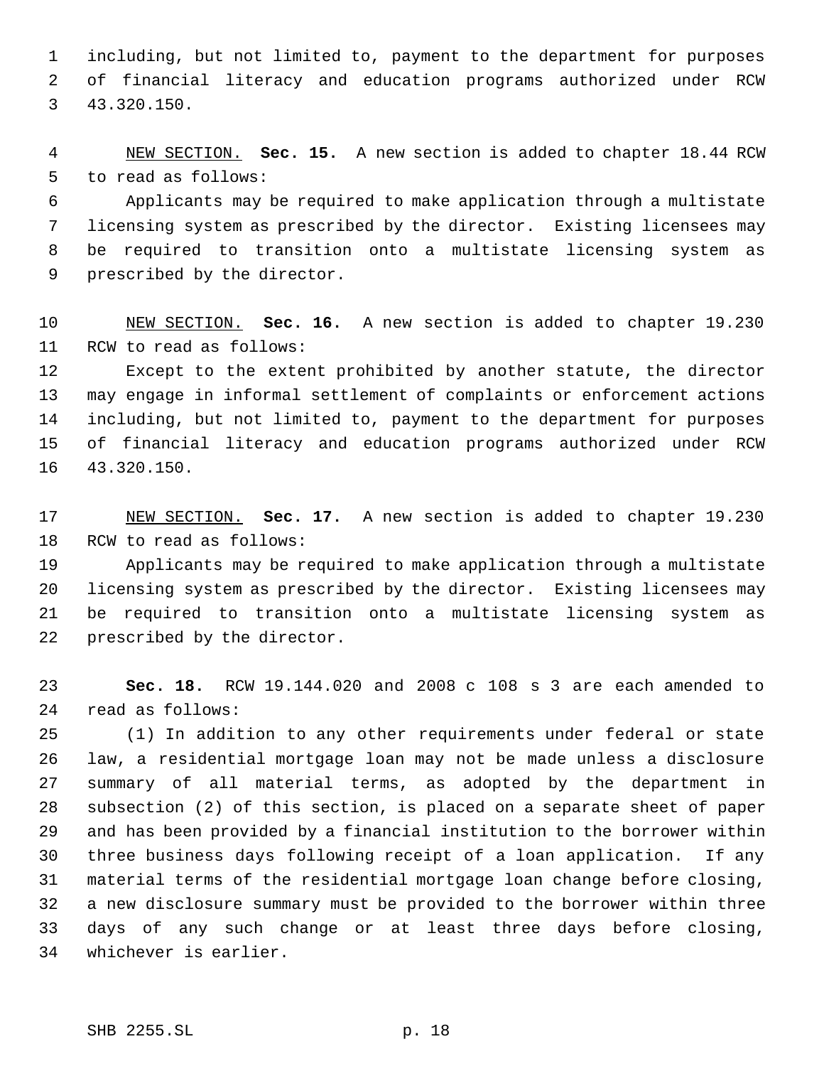including, but not limited to, payment to the department for purposes of financial literacy and education programs authorized under RCW 43.320.150.

 NEW SECTION. **Sec. 15.** A new section is added to chapter 18.44 RCW to read as follows:

 Applicants may be required to make application through a multistate licensing system as prescribed by the director. Existing licensees may be required to transition onto a multistate licensing system as prescribed by the director.

 NEW SECTION. **Sec. 16.** A new section is added to chapter 19.230 RCW to read as follows:

 Except to the extent prohibited by another statute, the director may engage in informal settlement of complaints or enforcement actions including, but not limited to, payment to the department for purposes of financial literacy and education programs authorized under RCW 43.320.150.

 NEW SECTION. **Sec. 17.** A new section is added to chapter 19.230 RCW to read as follows:

 Applicants may be required to make application through a multistate licensing system as prescribed by the director. Existing licensees may be required to transition onto a multistate licensing system as prescribed by the director.

 **Sec. 18.** RCW 19.144.020 and 2008 c 108 s 3 are each amended to read as follows:

 (1) In addition to any other requirements under federal or state law, a residential mortgage loan may not be made unless a disclosure summary of all material terms, as adopted by the department in subsection (2) of this section, is placed on a separate sheet of paper and has been provided by a financial institution to the borrower within three business days following receipt of a loan application. If any material terms of the residential mortgage loan change before closing, a new disclosure summary must be provided to the borrower within three days of any such change or at least three days before closing, whichever is earlier.